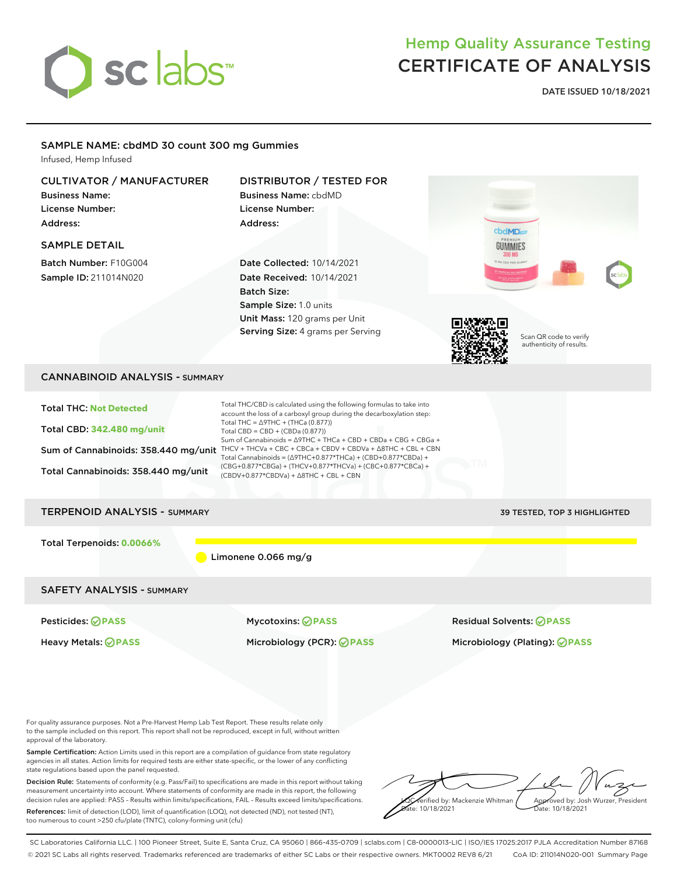

**DATE ISSUED 10/18/2021**

### SAMPLE NAME: cbdMD 30 count 300 mg Gummies

Infused, Hemp Infused

### CULTIVATOR / MANUFACTURER DISTRIBUTOR / TESTED FOR Business Name: Business Name: cbdMD License Number: License Number: Address: Address: cbdMD SAMPLE DETAIL **GUMMIES** Batch Number: F10G004 Date Collected: 10/14/2021 Sample ID: 211014N020 Date Received: 10/14/2021 Batch Size: Sample Size: 1.0 units Unit Mass: 120 grams per Unit Serving Size: 4 grams per Serving Scan QR code to verify authenticity of results. CANNABINOID ANALYSIS - SUMMARY Total THC/CBD is calculated using the following formulas to take into Total THC: **Not Detected** account the loss of a carboxyl group during the decarboxylation step: Total THC = ∆9THC + (THCa (0.877)) Total CBD: **342.480 mg/unit** Total CBD = CBD + (CBDa (0.877)) Sum of Cannabinoids = ∆9THC + THCa + CBD + CBDa + CBG + CBGa + Sum of Cannabinoids: 358.440 mg/unit THCV + THCVa + CBC + CBCa + CBDV + CBDVa +  $\triangle$ 8THC + CBL + CBN Total Cannabinoids = (∆9THC+0.877\*THCa) + (CBD+0.877\*CBDa) + (CBG+0.877\*CBGa) + (THCV+0.877\*THCVa) + (CBC+0.877\*CBCa) + Total Cannabinoids: 358.440 mg/unit (CBDV+0.877\*CBDVa) + ∆8THC + CBL + CBN TERPENOID ANALYSIS - SUMMARY 39 TESTED, TOP 3 HIGHLIGHTED Total Terpenoids: **0.0066%** Limonene 0.066 mg/g SAFETY ANALYSIS - SUMMARY Pesticides: **PASS** Mycotoxins: **PASS** Residual Solvents: **PASS** Heavy Metals: **PASS** Microbiology (PCR): **PASS** Microbiology (Plating): **PASS** For quality assurance purposes. Not a Pre-Harvest Hemp Lab Test Report. These results relate only to the sample included on this report. This report shall not be reproduced, except in full, without written

approval of the laboratory. Sample Certification: Action Limits used in this report are a compilation of guidance from state regulatory agencies in all states. Action limits for required tests are either state-specific, or the lower of any conflicting state regulations based upon the panel requested.

Decision Rule: Statements of conformity (e.g. Pass/Fail) to specifications are made in this report without taking measurement uncertainty into account. Where statements of conformity are made in this report, the following decision rules are applied: PASS – Results within limits/specifications, FAIL – Results exceed limits/specifications.

References: limit of detection (LOD), limit of quantification (LOQ), not detected (ND), not tested (NT), too numerous to count >250 cfu/plate (TNTC), colony-forming unit (cfu)



SC Laboratories California LLC. | 100 Pioneer Street, Suite E, Santa Cruz, CA 95060 | 866-435-0709 | sclabs.com | C8-0000013-LIC | ISO/IES 17025:2017 PJLA Accreditation Number 87168 © 2021 SC Labs all rights reserved. Trademarks referenced are trademarks of either SC Labs or their respective owners. MKT0002 REV8 6/21 CoA ID: 211014N020-001 Summary Page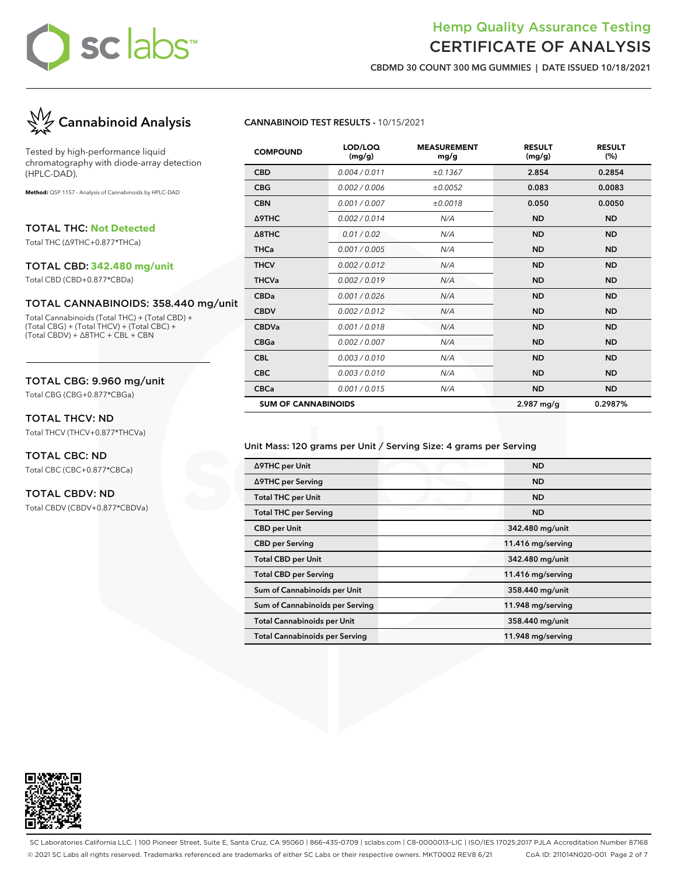## Hemp Quality Assurance Testing CERTIFICATE OF ANALYSIS

**CBDMD 30 COUNT 300 MG GUMMIES | DATE ISSUED 10/18/2021**



Tested by high-performance liquid chromatography with diode-array detection (HPLC-DAD).

**Method:** QSP 1157 - Analysis of Cannabinoids by HPLC-DAD

TOTAL THC: **Not Detected**

Total THC (∆9THC+0.877\*THCa)

#### TOTAL CBD: **342.480 mg/unit**

Total CBD (CBD+0.877\*CBDa)

### TOTAL CANNABINOIDS: 358.440 mg/unit

Total Cannabinoids (Total THC) + (Total CBD) + (Total CBG) + (Total THCV) + (Total CBC) + (Total CBDV) + ∆8THC + CBL + CBN

### TOTAL CBG: 9.960 mg/unit

Total CBG (CBG+0.877\*CBGa)

#### TOTAL THCV: ND

Total THCV (THCV+0.877\*THCVa)

## TOTAL CBC: ND

Total CBC (CBC+0.877\*CBCa)

### TOTAL CBDV: ND

Total CBDV (CBDV+0.877\*CBDVa)

### **CANNABINOID TEST RESULTS -** 10/15/2021

| <b>COMPOUND</b>            | LOD/LOQ<br>(mg/g) | <b>MEASUREMENT</b><br>mg/g | <b>RESULT</b><br>(mg/g) | <b>RESULT</b><br>(%) |
|----------------------------|-------------------|----------------------------|-------------------------|----------------------|
| <b>CBD</b>                 | 0.004 / 0.011     | ±0.1367                    | 2.854                   | 0.2854               |
| <b>CBG</b>                 | 0.002 / 0.006     | ±0.0052                    | 0.083                   | 0.0083               |
| <b>CBN</b>                 | 0.001 / 0.007     | ±0.0018                    | 0.050                   | 0.0050               |
| Δ9THC                      | 0.002/0.014       | N/A                        | <b>ND</b>               | <b>ND</b>            |
| $\triangle$ 8THC           | 0.01 / 0.02       | N/A                        | <b>ND</b>               | <b>ND</b>            |
| <b>THCa</b>                | 0.001 / 0.005     | N/A                        | <b>ND</b>               | <b>ND</b>            |
| <b>THCV</b>                | 0.002 / 0.012     | N/A                        | <b>ND</b>               | <b>ND</b>            |
| <b>THCVa</b>               | 0.002 / 0.019     | N/A                        | <b>ND</b>               | <b>ND</b>            |
| <b>CBDa</b>                | 0.001/0.026       | N/A                        | <b>ND</b>               | <b>ND</b>            |
| <b>CBDV</b>                | 0.002 / 0.012     | N/A                        | <b>ND</b>               | <b>ND</b>            |
| <b>CBDVa</b>               | 0.001/0.018       | N/A                        | <b>ND</b>               | <b>ND</b>            |
| <b>CBGa</b>                | 0.002 / 0.007     | N/A                        | <b>ND</b>               | <b>ND</b>            |
| <b>CBL</b>                 | 0.003/0.010       | N/A                        | <b>ND</b>               | <b>ND</b>            |
| <b>CBC</b>                 | 0.003/0.010       | N/A                        | <b>ND</b>               | <b>ND</b>            |
| <b>CBCa</b>                | 0.001 / 0.015     | N/A                        | <b>ND</b>               | <b>ND</b>            |
| <b>SUM OF CANNABINOIDS</b> |                   |                            | $2.987$ mg/g            | 0.2987%              |

#### Unit Mass: 120 grams per Unit / Serving Size: 4 grams per Serving

| ∆9THC per Unit                        | <b>ND</b>         |
|---------------------------------------|-------------------|
| ∆9THC per Serving                     | <b>ND</b>         |
| <b>Total THC per Unit</b>             | <b>ND</b>         |
| <b>Total THC per Serving</b>          | <b>ND</b>         |
| <b>CBD</b> per Unit                   | 342.480 mg/unit   |
| <b>CBD</b> per Serving                | 11.416 mg/serving |
| <b>Total CBD per Unit</b>             | 342.480 mg/unit   |
| <b>Total CBD per Serving</b>          | 11.416 mg/serving |
| Sum of Cannabinoids per Unit          | 358.440 mg/unit   |
| Sum of Cannabinoids per Serving       | 11.948 mg/serving |
| <b>Total Cannabinoids per Unit</b>    | 358.440 mg/unit   |
| <b>Total Cannabinoids per Serving</b> | 11.948 mg/serving |



SC Laboratories California LLC. | 100 Pioneer Street, Suite E, Santa Cruz, CA 95060 | 866-435-0709 | sclabs.com | C8-0000013-LIC | ISO/IES 17025:2017 PJLA Accreditation Number 87168 © 2021 SC Labs all rights reserved. Trademarks referenced are trademarks of either SC Labs or their respective owners. MKT0002 REV8 6/21 CoA ID: 211014N020-001 Page 2 of 7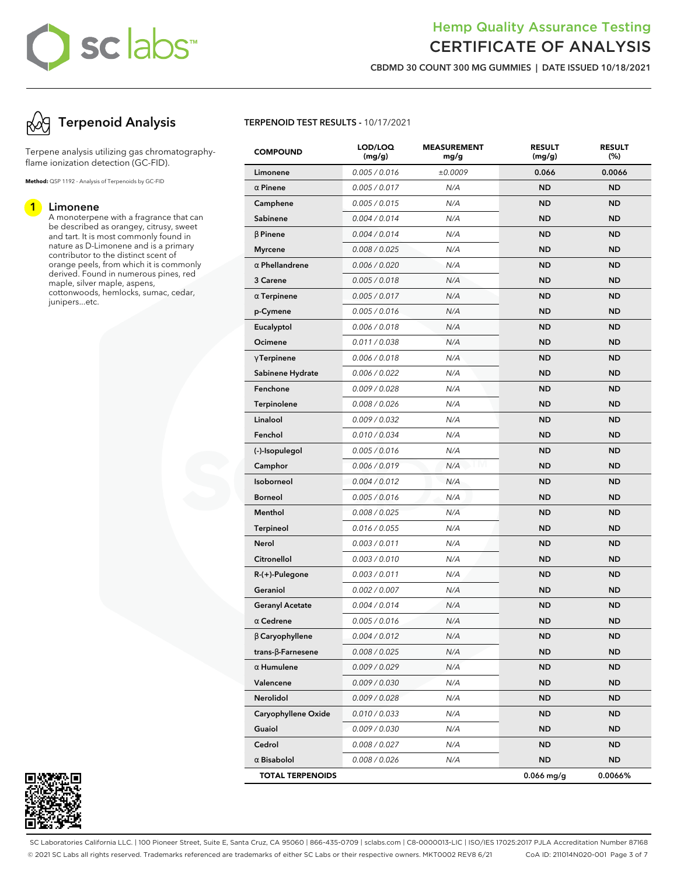## Hemp Quality Assurance Testing CERTIFICATE OF ANALYSIS

**CBDMD 30 COUNT 300 MG GUMMIES | DATE ISSUED 10/18/2021**

## **Terpenoid Analysis**

Terpene analysis utilizing gas chromatographyflame ionization detection (GC-FID).

**Method:** QSP 1192 - Analysis of Terpenoids by GC-FID

#### **1 Limonene**

A monoterpene with a fragrance that can be described as orangey, citrusy, sweet and tart. It is most commonly found in nature as D-Limonene and is a primary contributor to the distinct scent of orange peels, from which it is commonly derived. Found in numerous pines, red maple, silver maple, aspens, cottonwoods, hemlocks, sumac, cedar, junipers...etc.



| <b>COMPOUND</b>           | LOD/LOQ<br>(mg/g) | <b>MEASUREMENT</b><br>mg/g | <b>RESULT</b><br>(mg/g) | <b>RESULT</b><br>(%) |
|---------------------------|-------------------|----------------------------|-------------------------|----------------------|
| Limonene                  | 0.005 / 0.016     | ±0.0009                    | 0.066                   | 0.0066               |
| $\alpha$ Pinene           | 0.005 / 0.017     | N/A                        | <b>ND</b>               | <b>ND</b>            |
| Camphene                  | 0.005 / 0.015     | N/A                        | <b>ND</b>               | <b>ND</b>            |
| Sabinene                  | 0.004 / 0.014     | N/A                        | <b>ND</b>               | <b>ND</b>            |
| $\beta$ Pinene            | 0.004 / 0.014     | N/A                        | <b>ND</b>               | <b>ND</b>            |
| <b>Myrcene</b>            | 0.008 / 0.025     | N/A                        | <b>ND</b>               | <b>ND</b>            |
| $\alpha$ Phellandrene     | 0.006 / 0.020     | N/A                        | <b>ND</b>               | <b>ND</b>            |
| 3 Carene                  | 0.005 / 0.018     | N/A                        | <b>ND</b>               | <b>ND</b>            |
| $\alpha$ Terpinene        | 0.005 / 0.017     | N/A                        | <b>ND</b>               | <b>ND</b>            |
| p-Cymene                  | 0.005 / 0.016     | N/A                        | <b>ND</b>               | <b>ND</b>            |
| Eucalyptol                | 0.006 / 0.018     | N/A                        | <b>ND</b>               | <b>ND</b>            |
| Ocimene                   | 0.011 / 0.038     | N/A                        | <b>ND</b>               | <b>ND</b>            |
| $\gamma$ Terpinene        | 0.006 / 0.018     | N/A                        | <b>ND</b>               | <b>ND</b>            |
| Sabinene Hydrate          | 0.006 / 0.022     | N/A                        | <b>ND</b>               | <b>ND</b>            |
| Fenchone                  | 0.009 / 0.028     | N/A                        | <b>ND</b>               | <b>ND</b>            |
| Terpinolene               | 0.008 / 0.026     | N/A                        | <b>ND</b>               | <b>ND</b>            |
| Linalool                  | 0.009 / 0.032     | N/A                        | <b>ND</b>               | <b>ND</b>            |
| Fenchol                   | 0.010 / 0.034     | N/A                        | <b>ND</b>               | <b>ND</b>            |
| (-)-Isopulegol            | 0.005 / 0.016     | N/A                        | <b>ND</b>               | <b>ND</b>            |
| Camphor                   | 0.006 / 0.019     | N/A                        | <b>ND</b>               | <b>ND</b>            |
| Isoborneol                | 0.004 / 0.012     | N/A                        | <b>ND</b>               | <b>ND</b>            |
| <b>Borneol</b>            | 0.005 / 0.016     | N/A                        | <b>ND</b>               | <b>ND</b>            |
| Menthol                   | 0.008 / 0.025     | N/A                        | <b>ND</b>               | <b>ND</b>            |
| <b>Terpineol</b>          | 0.016 / 0.055     | N/A                        | <b>ND</b>               | <b>ND</b>            |
| Nerol                     | 0.003 / 0.011     | N/A                        | <b>ND</b>               | <b>ND</b>            |
| Citronellol               | 0.003 / 0.010     | N/A                        | <b>ND</b>               | <b>ND</b>            |
| R-(+)-Pulegone            | 0.003 / 0.011     | N/A                        | <b>ND</b>               | <b>ND</b>            |
| Geraniol                  | 0.002 / 0.007     | N/A                        | <b>ND</b>               | <b>ND</b>            |
| <b>Geranyl Acetate</b>    | 0.004 / 0.014     | N/A                        | <b>ND</b>               | <b>ND</b>            |
| $\alpha$ Cedrene          | 0.005 / 0.016     | N/A                        | <b>ND</b>               | <b>ND</b>            |
| $\beta$ Caryophyllene     | 0.004 / 0.012     | N/A                        | <b>ND</b>               | ND                   |
| trans- $\beta$ -Farnesene | 0.008 / 0.025     | N/A                        | <b>ND</b>               | <b>ND</b>            |
| $\alpha$ Humulene         | 0.009 / 0.029     | N/A                        | ND.                     | ND.                  |
| Valencene                 | 0.009 / 0.030     | N/A                        | <b>ND</b>               | <b>ND</b>            |
| Nerolidol                 | 0.009/0.028       | N/A                        | <b>ND</b>               | <b>ND</b>            |
| Caryophyllene Oxide       | 0.010 / 0.033     | N/A                        | <b>ND</b>               | ND.                  |
| Guaiol                    | 0.009 / 0.030     | N/A                        | <b>ND</b>               | <b>ND</b>            |
| Cedrol                    | 0.008 / 0.027     | N/A                        | ND.                     | <b>ND</b>            |
| $\alpha$ Bisabolol        | 0.008 / 0.026     | N/A                        | ND                      | ND                   |
| <b>TOTAL TERPENOIDS</b>   |                   |                            | $0.066$ mg/g            | 0.0066%              |



SC Laboratories California LLC. | 100 Pioneer Street, Suite E, Santa Cruz, CA 95060 | 866-435-0709 | sclabs.com | C8-0000013-LIC | ISO/IES 17025:2017 PJLA Accreditation Number 87168 © 2021 SC Labs all rights reserved. Trademarks referenced are trademarks of either SC Labs or their respective owners. MKT0002 REV8 6/21 CoA ID: 211014N020-001 Page 3 of 7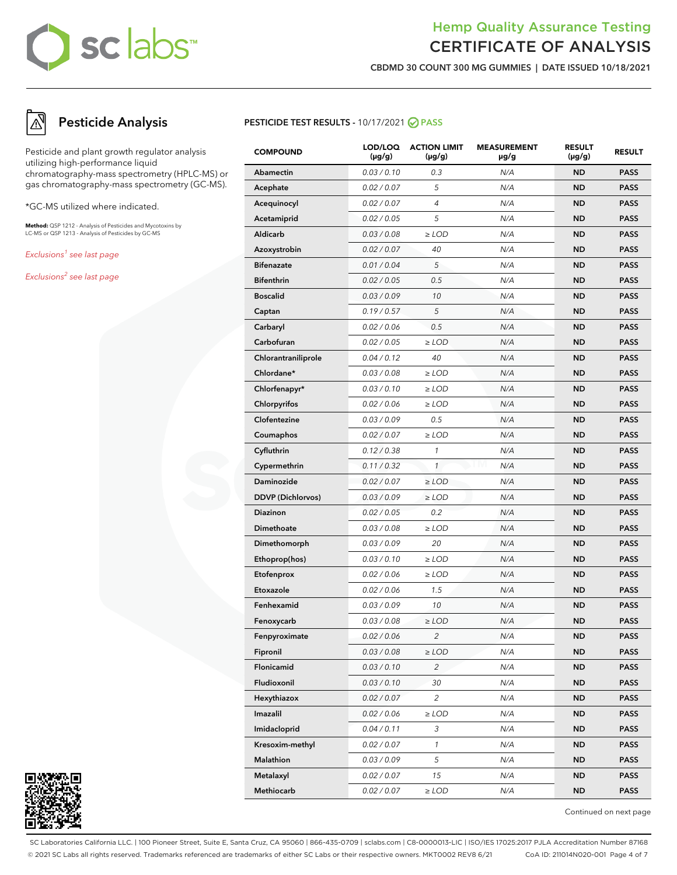## Hemp Quality Assurance Testing CERTIFICATE OF ANALYSIS

**CBDMD 30 COUNT 300 MG GUMMIES | DATE ISSUED 10/18/2021**

## **Pesticide Analysis**

Pesticide and plant growth regulator analysis utilizing high-performance liquid chromatography-mass spectrometry (HPLC-MS) or gas chromatography-mass spectrometry (GC-MS).

\*GC-MS utilized where indicated.

**Method:** QSP 1212 - Analysis of Pesticides and Mycotoxins by LC-MS or QSP 1213 - Analysis of Pesticides by GC-MS

Exclusions<sup>1</sup> see last page

Exclusions<sup>2</sup> see last page



| <b>COMPOUND</b>          | LOD/LOQ<br>$(\mu g/g)$ | <b>ACTION LIMIT</b><br>$(\mu g/g)$ | <b>MEASUREMENT</b><br>µg/g | <b>RESULT</b><br>$(\mu g/g)$ | <b>RESULT</b> |
|--------------------------|------------------------|------------------------------------|----------------------------|------------------------------|---------------|
| Abamectin                | 0.03 / 0.10            | 0.3                                | N/A                        | <b>ND</b>                    | <b>PASS</b>   |
| Acephate                 | 0.02 / 0.07            | 5                                  | N/A                        | <b>ND</b>                    | <b>PASS</b>   |
| Acequinocyl              | 0.02 / 0.07            | 4                                  | N/A                        | <b>ND</b>                    | <b>PASS</b>   |
| Acetamiprid              | 0.02 / 0.05            | 5                                  | N/A                        | <b>ND</b>                    | <b>PASS</b>   |
| Aldicarb                 | 0.03 / 0.08            | $\ge$ LOD                          | N/A                        | <b>ND</b>                    | <b>PASS</b>   |
| Azoxystrobin             | 0.02 / 0.07            | 40                                 | N/A                        | <b>ND</b>                    | <b>PASS</b>   |
| <b>Bifenazate</b>        | 0.01 / 0.04            | 5                                  | N/A                        | <b>ND</b>                    | <b>PASS</b>   |
| <b>Bifenthrin</b>        | 0.02 / 0.05            | 0.5                                | N/A                        | <b>ND</b>                    | <b>PASS</b>   |
| <b>Boscalid</b>          | 0.03 / 0.09            | 10                                 | N/A                        | <b>ND</b>                    | <b>PASS</b>   |
| Captan                   | 0.19/0.57              | 5                                  | N/A                        | <b>ND</b>                    | <b>PASS</b>   |
| Carbaryl                 | 0.02 / 0.06            | 0.5                                | N/A                        | <b>ND</b>                    | <b>PASS</b>   |
| Carbofuran               | 0.02 / 0.05            | $\ge$ LOD                          | N/A                        | <b>ND</b>                    | <b>PASS</b>   |
| Chlorantraniliprole      | 0.04 / 0.12            | 40                                 | N/A                        | <b>ND</b>                    | <b>PASS</b>   |
| Chlordane*               | 0.03 / 0.08            | $\ge$ LOD                          | N/A                        | <b>ND</b>                    | <b>PASS</b>   |
| Chlorfenapyr*            | 0.03 / 0.10            | $\ge$ LOD                          | N/A                        | <b>ND</b>                    | <b>PASS</b>   |
| Chlorpyrifos             | 0.02 / 0.06            | $\ge$ LOD                          | N/A                        | <b>ND</b>                    | <b>PASS</b>   |
| Clofentezine             | 0.03 / 0.09            | 0.5                                | N/A                        | <b>ND</b>                    | <b>PASS</b>   |
| Coumaphos                | 0.02 / 0.07            | $\ge$ LOD                          | N/A                        | <b>ND</b>                    | <b>PASS</b>   |
| Cyfluthrin               | 0.12 / 0.38            | $\mathcal{I}$                      | N/A                        | <b>ND</b>                    | <b>PASS</b>   |
| Cypermethrin             | 0.11 / 0.32            | $\mathbf{1}$                       | N/A                        | <b>ND</b>                    | <b>PASS</b>   |
| Daminozide               | 0.02 / 0.07            | $\geq$ LOD                         | N/A                        | <b>ND</b>                    | <b>PASS</b>   |
| <b>DDVP</b> (Dichlorvos) | 0.03 / 0.09            | $\ge$ LOD                          | N/A                        | <b>ND</b>                    | <b>PASS</b>   |
| Diazinon                 | 0.02 / 0.05            | 0.2                                | N/A                        | <b>ND</b>                    | <b>PASS</b>   |
| Dimethoate               | 0.03 / 0.08            | $\ge$ LOD                          | N/A                        | <b>ND</b>                    | <b>PASS</b>   |
| Dimethomorph             | 0.03 / 0.09            | 20                                 | N/A                        | <b>ND</b>                    | <b>PASS</b>   |
| Ethoprop(hos)            | 0.03 / 0.10            | $\ge$ LOD                          | N/A                        | <b>ND</b>                    | <b>PASS</b>   |
| Etofenprox               | 0.02 / 0.06            | $\ge$ LOD                          | N/A                        | <b>ND</b>                    | <b>PASS</b>   |
| Etoxazole                | 0.02 / 0.06            | 1.5                                | N/A                        | <b>ND</b>                    | <b>PASS</b>   |
| Fenhexamid               | 0.03 / 0.09            | 10                                 | N/A                        | <b>ND</b>                    | <b>PASS</b>   |
| Fenoxycarb               | 0.03 / 0.08            | $\ge$ LOD                          | N/A                        | <b>ND</b>                    | <b>PASS</b>   |
| Fenpyroximate            | 0.02 / 0.06            | $\overline{c}$                     | N/A                        | <b>ND</b>                    | <b>PASS</b>   |
| Fipronil                 | 0.03 / 0.08            | $\geq$ LOD                         | N/A                        | ND                           | PASS          |
| Flonicamid               | 0.03 / 0.10            | 2                                  | N/A                        | <b>ND</b>                    | <b>PASS</b>   |
| Fludioxonil              | 0.03 / 0.10            | 30                                 | N/A                        | <b>ND</b>                    | <b>PASS</b>   |
| Hexythiazox              | 0.02 / 0.07            | 2                                  | N/A                        | ND                           | PASS          |
| Imazalil                 | 0.02 / 0.06            | $\ge$ LOD                          | N/A                        | ND                           | <b>PASS</b>   |
| Imidacloprid             | 0.04 / 0.11            | 3                                  | N/A                        | <b>ND</b>                    | <b>PASS</b>   |
| Kresoxim-methyl          | 0.02 / 0.07            | $\mathbf{1}$                       | N/A                        | ND                           | PASS          |
| Malathion                | 0.03 / 0.09            | 5                                  | N/A                        | ND                           | <b>PASS</b>   |
| Metalaxyl                | 0.02 / 0.07            | 15                                 | N/A                        | <b>ND</b>                    | <b>PASS</b>   |
| Methiocarb               | 0.02 / 0.07            | $\geq$ LOD                         | N/A                        | ND                           | PASS          |



Continued on next page

SC Laboratories California LLC. | 100 Pioneer Street, Suite E, Santa Cruz, CA 95060 | 866-435-0709 | sclabs.com | C8-0000013-LIC | ISO/IES 17025:2017 PJLA Accreditation Number 87168 © 2021 SC Labs all rights reserved. Trademarks referenced are trademarks of either SC Labs or their respective owners. MKT0002 REV8 6/21 CoA ID: 211014N020-001 Page 4 of 7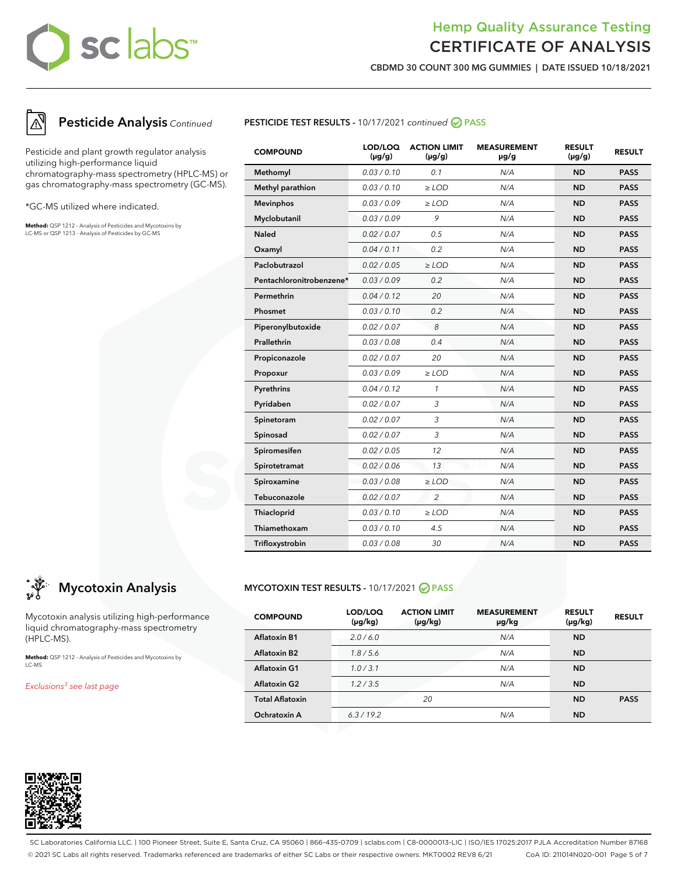## Hemp Quality Assurance Testing CERTIFICATE OF ANALYSIS

**CBDMD 30 COUNT 300 MG GUMMIES | DATE ISSUED 10/18/2021**



## **Pesticide Analysis** Continued

Pesticide and plant growth regulator analysis utilizing high-performance liquid chromatography-mass spectrometry (HPLC-MS) or gas chromatography-mass spectrometry (GC-MS).

\*GC-MS utilized where indicated.

**Method:** QSP 1212 - Analysis of Pesticides and Mycotoxins by LC-MS or QSP 1213 - Analysis of Pesticides by GC-MS

### **PESTICIDE TEST RESULTS - 10/17/2021 continued <br>
PASS**

| <b>COMPOUND</b>          | LOD/LOQ<br>$(\mu g/g)$ | <b>ACTION LIMIT</b><br>$(\mu g/g)$ | <b>MEASUREMENT</b><br>µg/g | <b>RESULT</b><br>$(\mu g/g)$ | <b>RESULT</b> |
|--------------------------|------------------------|------------------------------------|----------------------------|------------------------------|---------------|
| Methomyl                 | 0.03 / 0.10            | 0.1                                | N/A                        | <b>ND</b>                    | <b>PASS</b>   |
| Methyl parathion         | 0.03/0.10              | $\geq$ LOD                         | N/A                        | <b>ND</b>                    | <b>PASS</b>   |
| <b>Mevinphos</b>         | 0.03/0.09              | $\ge$ LOD                          | N/A                        | <b>ND</b>                    | <b>PASS</b>   |
| Myclobutanil             | 0.03 / 0.09            | 9                                  | N/A                        | <b>ND</b>                    | <b>PASS</b>   |
| <b>Naled</b>             | 0.02 / 0.07            | 0.5                                | N/A                        | <b>ND</b>                    | <b>PASS</b>   |
| Oxamyl                   | 0.04/0.11              | 0.2                                | N/A                        | <b>ND</b>                    | <b>PASS</b>   |
| Paclobutrazol            | 0.02 / 0.05            | $\geq$ LOD                         | N/A                        | <b>ND</b>                    | <b>PASS</b>   |
| Pentachloronitrobenzene* | 0.03/0.09              | 0.2                                | N/A                        | <b>ND</b>                    | <b>PASS</b>   |
| Permethrin               | 0.04 / 0.12            | 20                                 | N/A                        | <b>ND</b>                    | <b>PASS</b>   |
| Phosmet                  | 0.03/0.10              | 0.2                                | N/A                        | <b>ND</b>                    | <b>PASS</b>   |
| Piperonylbutoxide        | 0.02 / 0.07            | 8                                  | N/A                        | <b>ND</b>                    | <b>PASS</b>   |
| Prallethrin              | 0.03 / 0.08            | 0.4                                | N/A                        | <b>ND</b>                    | <b>PASS</b>   |
| Propiconazole            | 0.02 / 0.07            | 20                                 | N/A                        | <b>ND</b>                    | <b>PASS</b>   |
| Propoxur                 | 0.03 / 0.09            | $\ge$ LOD                          | N/A                        | <b>ND</b>                    | <b>PASS</b>   |
| Pyrethrins               | 0.04 / 0.12            | $\mathbf{1}$                       | N/A                        | <b>ND</b>                    | <b>PASS</b>   |
| Pyridaben                | 0.02 / 0.07            | 3                                  | N/A                        | <b>ND</b>                    | <b>PASS</b>   |
| Spinetoram               | 0.02 / 0.07            | 3                                  | N/A                        | <b>ND</b>                    | <b>PASS</b>   |
| Spinosad                 | 0.02 / 0.07            | 3                                  | N/A                        | <b>ND</b>                    | <b>PASS</b>   |
| Spiromesifen             | 0.02 / 0.05            | 12                                 | N/A                        | <b>ND</b>                    | <b>PASS</b>   |
| Spirotetramat            | 0.02 / 0.06            | 13                                 | N/A                        | <b>ND</b>                    | <b>PASS</b>   |
| Spiroxamine              | 0.03 / 0.08            | $\ge$ LOD                          | N/A                        | <b>ND</b>                    | <b>PASS</b>   |
| Tebuconazole             | 0.02 / 0.07            | $\overline{c}$                     | N/A                        | <b>ND</b>                    | <b>PASS</b>   |
| Thiacloprid              | 0.03/0.10              | $\ge$ LOD                          | N/A                        | <b>ND</b>                    | <b>PASS</b>   |
| Thiamethoxam             | 0.03 / 0.10            | 4.5                                | N/A                        | <b>ND</b>                    | <b>PASS</b>   |
| Trifloxystrobin          | 0.03 / 0.08            | 30                                 | N/A                        | <b>ND</b>                    | <b>PASS</b>   |

## **Mycotoxin Analysis**

Mycotoxin analysis utilizing high-performance liquid chromatography-mass spectrometry (HPLC-MS).

**Method:** QSP 1212 - Analysis of Pesticides and Mycotoxins by LC-MS

Exclusions<sup>3</sup> see last page

### **MYCOTOXIN TEST RESULTS -** 10/17/2021 **PASS**

| <b>COMPOUND</b>        | LOD/LOQ<br>(µg/kg) | <b>ACTION LIMIT</b><br>$(\mu g/kg)$ | <b>MEASUREMENT</b><br>µg/kg | <b>RESULT</b><br>$(\mu g/kg)$ | <b>RESULT</b> |
|------------------------|--------------------|-------------------------------------|-----------------------------|-------------------------------|---------------|
| <b>Aflatoxin B1</b>    | 2.0/6.0            |                                     | N/A                         | <b>ND</b>                     |               |
| <b>Aflatoxin B2</b>    | 1.8/5.6            |                                     | N/A                         | <b>ND</b>                     |               |
| <b>Aflatoxin G1</b>    | 1.0/3.1            |                                     | N/A                         | <b>ND</b>                     |               |
| <b>Aflatoxin G2</b>    | 1.2 / 3.5          |                                     | N/A                         | <b>ND</b>                     |               |
| <b>Total Aflatoxin</b> |                    | 20                                  |                             | <b>ND</b>                     | <b>PASS</b>   |
| Ochratoxin A           | 6.3/19.2           |                                     | N/A                         | <b>ND</b>                     |               |



SC Laboratories California LLC. | 100 Pioneer Street, Suite E, Santa Cruz, CA 95060 | 866-435-0709 | sclabs.com | C8-0000013-LIC | ISO/IES 17025:2017 PJLA Accreditation Number 87168 © 2021 SC Labs all rights reserved. Trademarks referenced are trademarks of either SC Labs or their respective owners. MKT0002 REV8 6/21 CoA ID: 211014N020-001 Page 5 of 7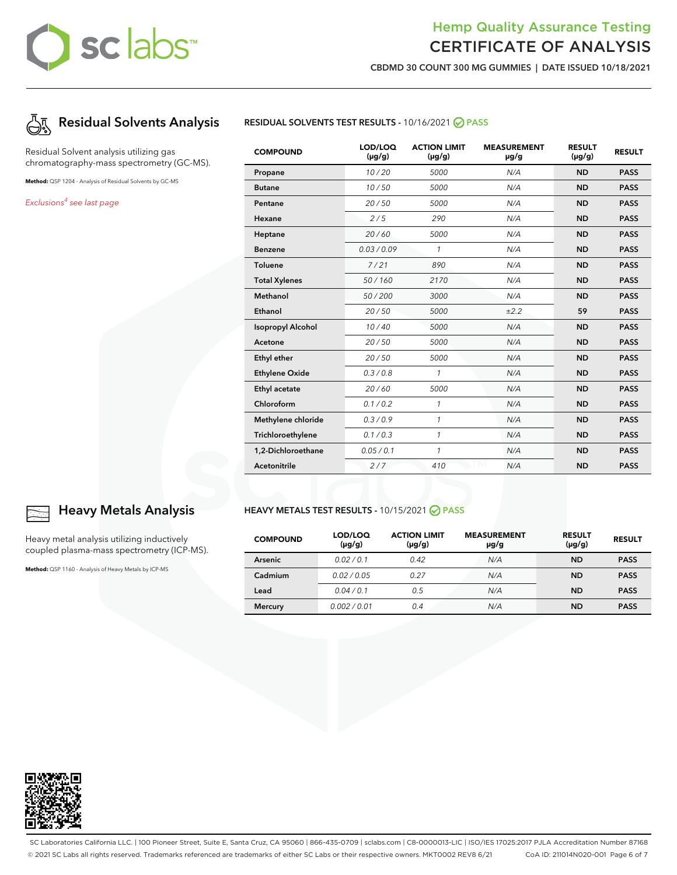## Hemp Quality Assurance Testing CERTIFICATE OF ANALYSIS

**CBDMD 30 COUNT 300 MG GUMMIES | DATE ISSUED 10/18/2021**



Residual Solvent analysis utilizing gas chromatography-mass spectrometry (GC-MS).

**Method:** QSP 1204 - Analysis of Residual Solvents by GC-MS

Exclusions<sup>4</sup> see last page



| <b>COMPOUND</b>          | LOD/LOQ<br>$(\mu g/g)$ | <b>ACTION LIMIT</b><br>$(\mu g/g)$ | <b>MEASUREMENT</b><br>µg/g | <b>RESULT</b><br>$(\mu g/g)$ | <b>RESULT</b> |
|--------------------------|------------------------|------------------------------------|----------------------------|------------------------------|---------------|
| Propane                  | 10/20                  | 5000                               | N/A                        | <b>ND</b>                    | <b>PASS</b>   |
| <b>Butane</b>            | 10/50                  | 5000                               | N/A                        | <b>ND</b>                    | <b>PASS</b>   |
| Pentane                  | 20/50                  | 5000                               | N/A                        | <b>ND</b>                    | <b>PASS</b>   |
| Hexane                   | 2/5                    | 290                                | N/A                        | <b>ND</b>                    | <b>PASS</b>   |
| Heptane                  | 20/60                  | 5000                               | N/A                        | <b>ND</b>                    | <b>PASS</b>   |
| <b>Benzene</b>           | 0.03/0.09              | $\mathbf{1}$                       | N/A                        | <b>ND</b>                    | <b>PASS</b>   |
| <b>Toluene</b>           | 7/21                   | 890                                | N/A                        | <b>ND</b>                    | <b>PASS</b>   |
| <b>Total Xylenes</b>     | 50/160                 | 2170                               | N/A                        | <b>ND</b>                    | <b>PASS</b>   |
| Methanol                 | 50/200                 | 3000                               | N/A                        | <b>ND</b>                    | <b>PASS</b>   |
| Ethanol                  | 20/50                  | 5000                               | ±2.2                       | 59                           | <b>PASS</b>   |
| <b>Isopropyl Alcohol</b> | 10/40                  | 5000                               | N/A                        | <b>ND</b>                    | <b>PASS</b>   |
| Acetone                  | 20/50                  | 5000                               | N/A                        | <b>ND</b>                    | <b>PASS</b>   |
| Ethyl ether              | 20/50                  | 5000                               | N/A                        | <b>ND</b>                    | <b>PASS</b>   |
| <b>Ethylene Oxide</b>    | 0.3 / 0.8              | $\mathbf{1}$                       | N/A                        | <b>ND</b>                    | <b>PASS</b>   |
| Ethyl acetate            | 20/60                  | 5000                               | N/A                        | <b>ND</b>                    | <b>PASS</b>   |
| Chloroform               | 0.1 / 0.2              | $\mathbf{1}$                       | N/A                        | <b>ND</b>                    | <b>PASS</b>   |
| Methylene chloride       | 0.3/0.9                | $\mathbf{1}$                       | N/A                        | <b>ND</b>                    | <b>PASS</b>   |
| Trichloroethylene        | 0.1 / 0.3              | $\mathcal{I}$                      | N/A                        | <b>ND</b>                    | <b>PASS</b>   |
| 1,2-Dichloroethane       | 0.05 / 0.1             | 1                                  | N/A                        | <b>ND</b>                    | <b>PASS</b>   |
| Acetonitrile             | 2/7                    | 410                                | N/A                        | <b>ND</b>                    | <b>PASS</b>   |

### **HEAVY METALS TEST RESULTS -** 10/15/2021 **PASS**

| <b>COMPOUND</b> | LOD/LOQ<br>$(\mu g/g)$ | <b>ACTION LIMIT</b><br>$(\mu g/g)$ | <b>MEASUREMENT</b><br>µg/g | <b>RESULT</b><br>$(\mu g/g)$ | <b>RESULT</b> |
|-----------------|------------------------|------------------------------------|----------------------------|------------------------------|---------------|
| Arsenic         | 0.02/0.1               | 0.42                               | N/A                        | <b>ND</b>                    | <b>PASS</b>   |
| Cadmium         | 0.02/0.05              | 0.27                               | N/A                        | <b>ND</b>                    | <b>PASS</b>   |
| Lead            | 0.04/0.1               | 0.5                                | N/A                        | <b>ND</b>                    | <b>PASS</b>   |
| <b>Mercury</b>  | 0.002/0.01             | 0.4                                | N/A                        | <b>ND</b>                    | <b>PASS</b>   |



### **Heavy Metals Analysis**

Heavy metal analysis utilizing inductively coupled plasma-mass spectrometry (ICP-MS).

**Method:** QSP 1160 - Analysis of Heavy Metals by ICP-MS